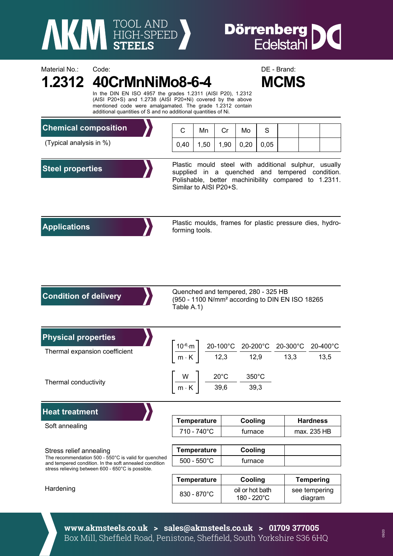

Material No.: Code: Code: Code: DE - Brand:

## **Dörrenberg DC**<br>Edelstahl

|                                                                                                                                                                                                | In the DIN EN ISO 4957 the grades 1.2311 (AISI P20), 1.2312<br>(AISI P20+S) and 1.2738 (AISI P20+Ni) covered by the above<br>mentioned code were amalgamated. The grade 1.2312 contain<br>additional quantities of S and no additional quantities of Ni. |             |                    |      |                                |                                | <b>MCMS</b> |                          |  |  |
|------------------------------------------------------------------------------------------------------------------------------------------------------------------------------------------------|----------------------------------------------------------------------------------------------------------------------------------------------------------------------------------------------------------------------------------------------------------|-------------|--------------------|------|--------------------------------|--------------------------------|-------------|--------------------------|--|--|
| <b>Chemical composition</b>                                                                                                                                                                    | С                                                                                                                                                                                                                                                        | Mn          | Cr                 | Mo   | S                              |                                |             |                          |  |  |
| (Typical analysis in %)                                                                                                                                                                        | 0,40                                                                                                                                                                                                                                                     | 1,50        | 1,90               | 0,20 | 0,05                           |                                |             |                          |  |  |
| <b>Steel properties</b>                                                                                                                                                                        | Plastic mould steel with additional sulphur, usually<br>supplied in a quenched and tempered condition.<br>Polishable, better machinibility compared to 1.2311.<br>Similar to AISI P20+S.                                                                 |             |                    |      |                                |                                |             |                          |  |  |
| <b>Applications</b>                                                                                                                                                                            | Plastic moulds, frames for plastic pressure dies, hydro-<br>forming tools.                                                                                                                                                                               |             |                    |      |                                |                                |             |                          |  |  |
| <b>Condition of delivery</b>                                                                                                                                                                   | Quenched and tempered, 280 - 325 HB<br>(950 - 1100 N/mm <sup>2</sup> according to DIN EN ISO 18265<br>Table A.1)                                                                                                                                         |             |                    |      |                                |                                |             |                          |  |  |
| <b>Physical properties</b><br>Thermal expansion coefficient                                                                                                                                    | $\left.\frac{10^{-6} \cdot m}{m \cdot K}\right]$<br>$\frac{20-100\degree \text{C}}{12,3} \quad \frac{20-200\degree \text{C}}{12,9} \quad \frac{20-300\degree \text{C}}{13,3} \quad \frac{20-400\degree \text{C}}{13,5}$                                  |             |                    |      |                                |                                |             |                          |  |  |
| Thermal conductivity                                                                                                                                                                           | W<br>$20^{\circ}$ C<br>350°C<br>39,3<br>39,6<br>$\ensuremath{\mathsf{m}}\xspace \cdot \ensuremath{\mathsf{K}}\xspace$                                                                                                                                    |             |                    |      |                                |                                |             |                          |  |  |
| <b>Heat treatment</b>                                                                                                                                                                          |                                                                                                                                                                                                                                                          |             |                    |      |                                |                                |             |                          |  |  |
| Soft annealing                                                                                                                                                                                 | <b>Temperature</b>                                                                                                                                                                                                                                       |             | Cooling<br>furnace |      |                                | <b>Hardness</b><br>max. 235 HB |             |                          |  |  |
|                                                                                                                                                                                                | 710 - 740°C                                                                                                                                                                                                                                              |             |                    |      |                                |                                |             |                          |  |  |
| Stress relief annealing<br>The recommendation 500 - 550°C is valid for quenched<br>and tempered condition. In the soft annealed condition<br>stress relieving between 600 - 650°C is possible. | <b>Temperature</b>                                                                                                                                                                                                                                       |             | Cooling            |      |                                |                                |             |                          |  |  |
|                                                                                                                                                                                                | $500 - 550^{\circ}$ C                                                                                                                                                                                                                                    |             | furnace            |      |                                |                                |             |                          |  |  |
|                                                                                                                                                                                                | <b>Temperature</b>                                                                                                                                                                                                                                       |             | Cooling            |      |                                | <b>Tempering</b>               |             |                          |  |  |
| Hardening                                                                                                                                                                                      |                                                                                                                                                                                                                                                          | 830 - 870°C |                    |      | oil or hot bath<br>180 - 220°C |                                |             | see tempering<br>diagram |  |  |

**www.akmsteels.co.uk > sales@akmsteels.co.uk > 01709 377005**  Box Mill, Sheffield Road, Penistone, Sheffield, South Yorkshire S36 6HQ